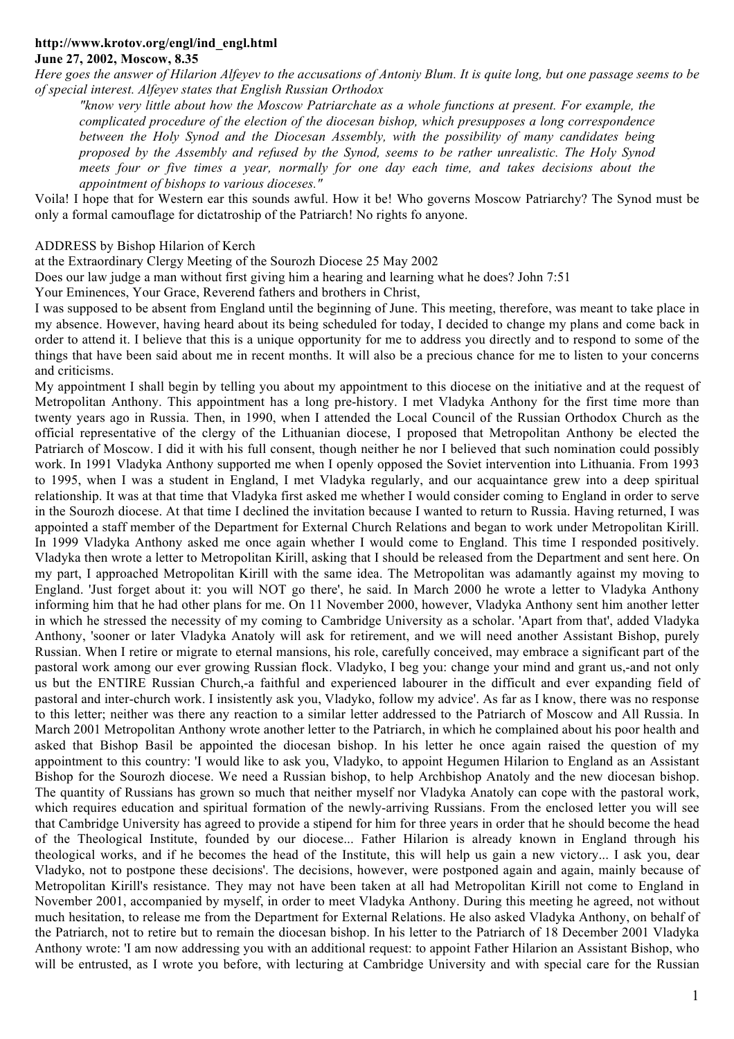## **http://www.krotov.org/engl/ind\_engl.html June 27, 2002, Moscow, 8.35**

*Here goes the answer of Hilarion Alfeyev to the accusations of Antoniy Blum. It is quite long, but one passage seems to be of special interest. Alfeyev states that English Russian Orthodox* 

*"know very little about how the Moscow Patriarchate as a whole functions at present. For example, the complicated procedure of the election of the diocesan bishop, which presupposes a long correspondence between the Holy Synod and the Diocesan Assembly, with the possibility of many candidates being proposed by the Assembly and refused by the Synod, seems to be rather unrealistic. The Holy Synod meets four or five times a year, normally for one day each time, and takes decisions about the appointment of bishops to various dioceses."* 

Voila! I hope that for Western ear this sounds awful. How it be! Who governs Moscow Patriarchy? The Synod must be only a formal camouflage for dictatroship of the Patriarch! No rights fo anyone.

ADDRESS by Bishop Hilarion of Kerch

at the Extraordinary Clergy Meeting of the Sourozh Diocese 25 May 2002

Does our law judge a man without first giving him a hearing and learning what he does? John 7:51

Your Eminences, Your Grace, Reverend fathers and brothers in Christ,

I was supposed to be absent from England until the beginning of June. This meeting, therefore, was meant to take place in my absence. However, having heard about its being scheduled for today, I decided to change my plans and come back in order to attend it. I believe that this is a unique opportunity for me to address you directly and to respond to some of the things that have been said about me in recent months. It will also be a precious chance for me to listen to your concerns and criticisms.

My appointment I shall begin by telling you about my appointment to this diocese on the initiative and at the request of Metropolitan Anthony. This appointment has a long pre-history. I met Vladyka Anthony for the first time more than twenty years ago in Russia. Then, in 1990, when I attended the Local Council of the Russian Orthodox Church as the official representative of the clergy of the Lithuanian diocese, I proposed that Metropolitan Anthony be elected the Patriarch of Moscow. I did it with his full consent, though neither he nor I believed that such nomination could possibly work. In 1991 Vladyka Anthony supported me when I openly opposed the Soviet intervention into Lithuania. From 1993 to 1995, when I was a student in England, I met Vladyka regularly, and our acquaintance grew into a deep spiritual relationship. It was at that time that Vladyka first asked me whether I would consider coming to England in order to serve in the Sourozh diocese. At that time I declined the invitation because I wanted to return to Russia. Having returned, I was appointed a staff member of the Department for External Church Relations and began to work under Metropolitan Kirill. In 1999 Vladyka Anthony asked me once again whether I would come to England. This time I responded positively. Vladyka then wrote a letter to Metropolitan Kirill, asking that I should be released from the Department and sent here. On my part, I approached Metropolitan Kirill with the same idea. The Metropolitan was adamantly against my moving to England. 'Just forget about it: you will NOT go there', he said. In March 2000 he wrote a letter to Vladyka Anthony informing him that he had other plans for me. On 11 November 2000, however, Vladyka Anthony sent him another letter in which he stressed the necessity of my coming to Cambridge University as a scholar. 'Apart from that', added Vladyka Anthony, 'sooner or later Vladyka Anatoly will ask for retirement, and we will need another Assistant Bishop, purely Russian. When I retire or migrate to eternal mansions, his role, carefully conceived, may embrace a significant part of the pastoral work among our ever growing Russian flock. Vladyko, I beg you: change your mind and grant us,-and not only us but the ENTIRE Russian Church,-a faithful and experienced labourer in the difficult and ever expanding field of pastoral and inter-church work. I insistently ask you, Vladyko, follow my advice'. As far as I know, there was no response to this letter; neither was there any reaction to a similar letter addressed to the Patriarch of Moscow and All Russia. In March 2001 Metropolitan Anthony wrote another letter to the Patriarch, in which he complained about his poor health and asked that Bishop Basil be appointed the diocesan bishop. In his letter he once again raised the question of my appointment to this country: 'I would like to ask you, Vladyko, to appoint Hegumen Hilarion to England as an Assistant Bishop for the Sourozh diocese. We need a Russian bishop, to help Archbishop Anatoly and the new diocesan bishop. The quantity of Russians has grown so much that neither myself nor Vladyka Anatoly can cope with the pastoral work, which requires education and spiritual formation of the newly-arriving Russians. From the enclosed letter you will see that Cambridge University has agreed to provide a stipend for him for three years in order that he should become the head of the Theological Institute, founded by our diocese... Father Hilarion is already known in England through his theological works, and if he becomes the head of the Institute, this will help us gain a new victory... I ask you, dear Vladyko, not to postpone these decisions'. The decisions, however, were postponed again and again, mainly because of Metropolitan Kirill's resistance. They may not have been taken at all had Metropolitan Kirill not come to England in November 2001, accompanied by myself, in order to meet Vladyka Anthony. During this meeting he agreed, not without much hesitation, to release me from the Department for External Relations. He also asked Vladyka Anthony, on behalf of the Patriarch, not to retire but to remain the diocesan bishop. In his letter to the Patriarch of 18 December 2001 Vladyka Anthony wrote: 'I am now addressing you with an additional request: to appoint Father Hilarion an Assistant Bishop, who will be entrusted, as I wrote you before, with lecturing at Cambridge University and with special care for the Russian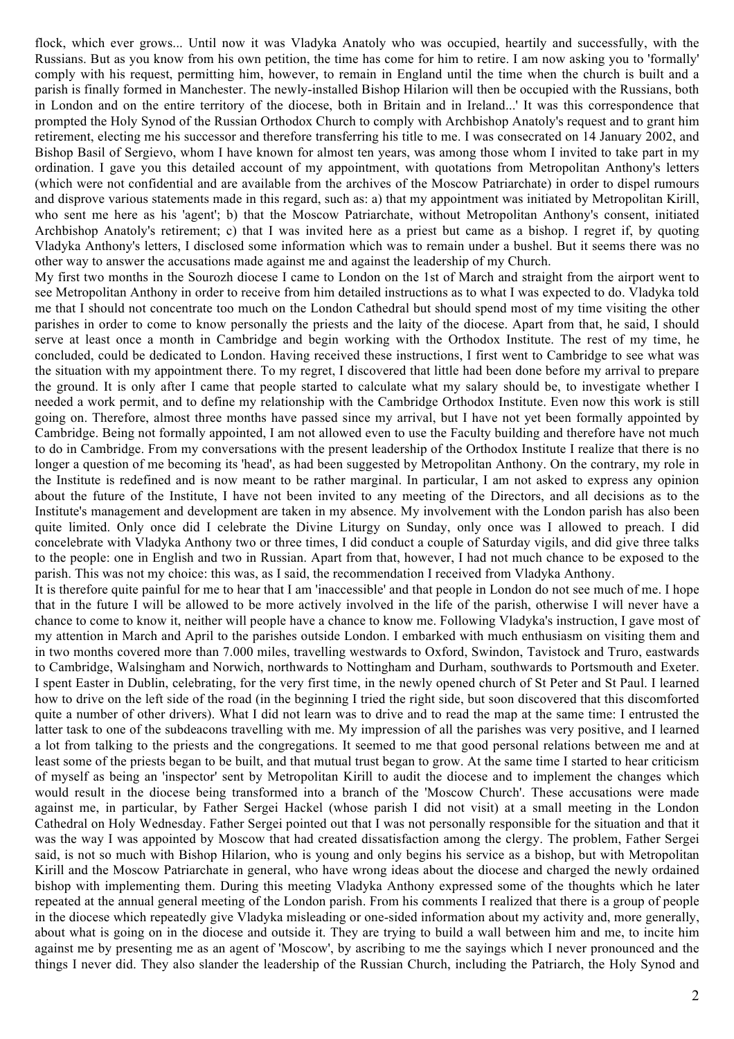flock, which ever grows... Until now it was Vladyka Anatoly who was occupied, heartily and successfully, with the Russians. But as you know from his own petition, the time has come for him to retire. I am now asking you to 'formally' comply with his request, permitting him, however, to remain in England until the time when the church is built and a parish is finally formed in Manchester. The newly-installed Bishop Hilarion will then be occupied with the Russians, both in London and on the entire territory of the diocese, both in Britain and in Ireland...' It was this correspondence that prompted the Holy Synod of the Russian Orthodox Church to comply with Archbishop Anatoly's request and to grant him retirement, electing me his successor and therefore transferring his title to me. I was consecrated on 14 January 2002, and Bishop Basil of Sergievo, whom I have known for almost ten years, was among those whom I invited to take part in my ordination. I gave you this detailed account of my appointment, with quotations from Metropolitan Anthony's letters (which were not confidential and are available from the archives of the Moscow Patriarchate) in order to dispel rumours and disprove various statements made in this regard, such as: a) that my appointment was initiated by Metropolitan Kirill, who sent me here as his 'agent'; b) that the Moscow Patriarchate, without Metropolitan Anthony's consent, initiated Archbishop Anatoly's retirement; c) that I was invited here as a priest but came as a bishop. I regret if, by quoting Vladyka Anthony's letters, I disclosed some information which was to remain under a bushel. But it seems there was no other way to answer the accusations made against me and against the leadership of my Church.

My first two months in the Sourozh diocese I came to London on the 1st of March and straight from the airport went to see Metropolitan Anthony in order to receive from him detailed instructions as to what I was expected to do. Vladyka told me that I should not concentrate too much on the London Cathedral but should spend most of my time visiting the other parishes in order to come to know personally the priests and the laity of the diocese. Apart from that, he said, I should serve at least once a month in Cambridge and begin working with the Orthodox Institute. The rest of my time, he concluded, could be dedicated to London. Having received these instructions, I first went to Cambridge to see what was the situation with my appointment there. To my regret, I discovered that little had been done before my arrival to prepare the ground. It is only after I came that people started to calculate what my salary should be, to investigate whether I needed a work permit, and to define my relationship with the Cambridge Orthodox Institute. Even now this work is still going on. Therefore, almost three months have passed since my arrival, but I have not yet been formally appointed by Cambridge. Being not formally appointed, I am not allowed even to use the Faculty building and therefore have not much to do in Cambridge. From my conversations with the present leadership of the Orthodox Institute I realize that there is no longer a question of me becoming its 'head', as had been suggested by Metropolitan Anthony. On the contrary, my role in the Institute is redefined and is now meant to be rather marginal. In particular, I am not asked to express any opinion about the future of the Institute, I have not been invited to any meeting of the Directors, and all decisions as to the Institute's management and development are taken in my absence. My involvement with the London parish has also been quite limited. Only once did I celebrate the Divine Liturgy on Sunday, only once was I allowed to preach. I did concelebrate with Vladyka Anthony two or three times, I did conduct a couple of Saturday vigils, and did give three talks to the people: one in English and two in Russian. Apart from that, however, I had not much chance to be exposed to the parish. This was not my choice: this was, as I said, the recommendation I received from Vladyka Anthony.

It is therefore quite painful for me to hear that I am 'inaccessible' and that people in London do not see much of me. I hope that in the future I will be allowed to be more actively involved in the life of the parish, otherwise I will never have a chance to come to know it, neither will people have a chance to know me. Following Vladyka's instruction, I gave most of my attention in March and April to the parishes outside London. I embarked with much enthusiasm on visiting them and in two months covered more than 7.000 miles, travelling westwards to Oxford, Swindon, Tavistock and Truro, eastwards to Cambridge, Walsingham and Norwich, northwards to Nottingham and Durham, southwards to Portsmouth and Exeter. I spent Easter in Dublin, celebrating, for the very first time, in the newly opened church of St Peter and St Paul. I learned how to drive on the left side of the road (in the beginning I tried the right side, but soon discovered that this discomforted quite a number of other drivers). What I did not learn was to drive and to read the map at the same time: I entrusted the latter task to one of the subdeacons travelling with me. My impression of all the parishes was very positive, and I learned a lot from talking to the priests and the congregations. It seemed to me that good personal relations between me and at least some of the priests began to be built, and that mutual trust began to grow. At the same time I started to hear criticism of myself as being an 'inspector' sent by Metropolitan Kirill to audit the diocese and to implement the changes which would result in the diocese being transformed into a branch of the 'Moscow Church'. These accusations were made against me, in particular, by Father Sergei Hackel (whose parish I did not visit) at a small meeting in the London Cathedral on Holy Wednesday. Father Sergei pointed out that I was not personally responsible for the situation and that it was the way I was appointed by Moscow that had created dissatisfaction among the clergy. The problem, Father Sergei said, is not so much with Bishop Hilarion, who is young and only begins his service as a bishop, but with Metropolitan Kirill and the Moscow Patriarchate in general, who have wrong ideas about the diocese and charged the newly ordained bishop with implementing them. During this meeting Vladyka Anthony expressed some of the thoughts which he later repeated at the annual general meeting of the London parish. From his comments I realized that there is a group of people in the diocese which repeatedly give Vladyka misleading or one-sided information about my activity and, more generally, about what is going on in the diocese and outside it. They are trying to build a wall between him and me, to incite him against me by presenting me as an agent of 'Moscow', by ascribing to me the sayings which I never pronounced and the things I never did. They also slander the leadership of the Russian Church, including the Patriarch, the Holy Synod and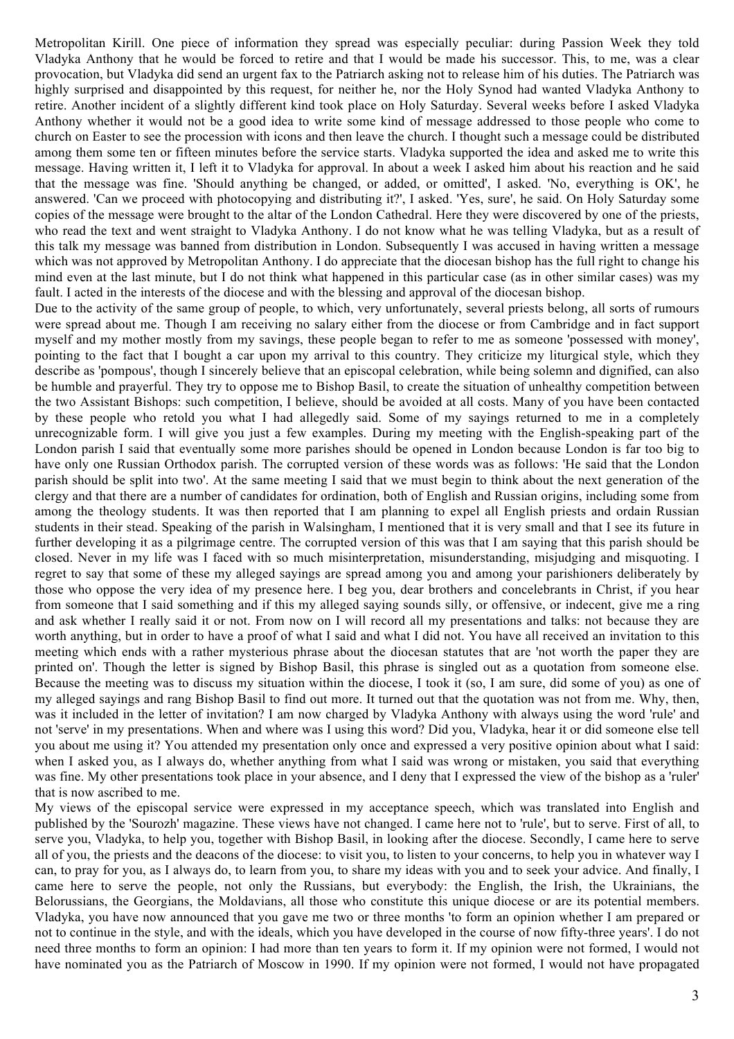Metropolitan Kirill. One piece of information they spread was especially peculiar: during Passion Week they told Vladyka Anthony that he would be forced to retire and that I would be made his successor. This, to me, was a clear provocation, but Vladyka did send an urgent fax to the Patriarch asking not to release him of his duties. The Patriarch was highly surprised and disappointed by this request, for neither he, nor the Holy Synod had wanted Vladyka Anthony to retire. Another incident of a slightly different kind took place on Holy Saturday. Several weeks before I asked Vladyka Anthony whether it would not be a good idea to write some kind of message addressed to those people who come to church on Easter to see the procession with icons and then leave the church. I thought such a message could be distributed among them some ten or fifteen minutes before the service starts. Vladyka supported the idea and asked me to write this message. Having written it, I left it to Vladyka for approval. In about a week I asked him about his reaction and he said that the message was fine. 'Should anything be changed, or added, or omitted', I asked. 'No, everything is OK', he answered. 'Can we proceed with photocopying and distributing it?', I asked. 'Yes, sure', he said. On Holy Saturday some copies of the message were brought to the altar of the London Cathedral. Here they were discovered by one of the priests, who read the text and went straight to Vladyka Anthony. I do not know what he was telling Vladyka, but as a result of this talk my message was banned from distribution in London. Subsequently I was accused in having written a message which was not approved by Metropolitan Anthony. I do appreciate that the diocesan bishop has the full right to change his mind even at the last minute, but I do not think what happened in this particular case (as in other similar cases) was my fault. I acted in the interests of the diocese and with the blessing and approval of the diocesan bishop.

Due to the activity of the same group of people, to which, very unfortunately, several priests belong, all sorts of rumours were spread about me. Though I am receiving no salary either from the diocese or from Cambridge and in fact support myself and my mother mostly from my savings, these people began to refer to me as someone 'possessed with money', pointing to the fact that I bought a car upon my arrival to this country. They criticize my liturgical style, which they describe as 'pompous', though I sincerely believe that an episcopal celebration, while being solemn and dignified, can also be humble and prayerful. They try to oppose me to Bishop Basil, to create the situation of unhealthy competition between the two Assistant Bishops: such competition, I believe, should be avoided at all costs. Many of you have been contacted by these people who retold you what I had allegedly said. Some of my sayings returned to me in a completely unrecognizable form. I will give you just a few examples. During my meeting with the English-speaking part of the London parish I said that eventually some more parishes should be opened in London because London is far too big to have only one Russian Orthodox parish. The corrupted version of these words was as follows: 'He said that the London parish should be split into two'. At the same meeting I said that we must begin to think about the next generation of the clergy and that there are a number of candidates for ordination, both of English and Russian origins, including some from among the theology students. It was then reported that I am planning to expel all English priests and ordain Russian students in their stead. Speaking of the parish in Walsingham, I mentioned that it is very small and that I see its future in further developing it as a pilgrimage centre. The corrupted version of this was that I am saying that this parish should be closed. Never in my life was I faced with so much misinterpretation, misunderstanding, misjudging and misquoting. I regret to say that some of these my alleged sayings are spread among you and among your parishioners deliberately by those who oppose the very idea of my presence here. I beg you, dear brothers and concelebrants in Christ, if you hear from someone that I said something and if this my alleged saying sounds silly, or offensive, or indecent, give me a ring and ask whether I really said it or not. From now on I will record all my presentations and talks: not because they are worth anything, but in order to have a proof of what I said and what I did not. You have all received an invitation to this meeting which ends with a rather mysterious phrase about the diocesan statutes that are 'not worth the paper they are printed on'. Though the letter is signed by Bishop Basil, this phrase is singled out as a quotation from someone else. Because the meeting was to discuss my situation within the diocese, I took it (so, I am sure, did some of you) as one of my alleged sayings and rang Bishop Basil to find out more. It turned out that the quotation was not from me. Why, then, was it included in the letter of invitation? I am now charged by Vladyka Anthony with always using the word 'rule' and not 'serve' in my presentations. When and where was I using this word? Did you, Vladyka, hear it or did someone else tell you about me using it? You attended my presentation only once and expressed a very positive opinion about what I said: when I asked you, as I always do, whether anything from what I said was wrong or mistaken, you said that everything was fine. My other presentations took place in your absence, and I deny that I expressed the view of the bishop as a 'ruler' that is now ascribed to me.

My views of the episcopal service were expressed in my acceptance speech, which was translated into English and published by the 'Sourozh' magazine. These views have not changed. I came here not to 'rule', but to serve. First of all, to serve you, Vladyka, to help you, together with Bishop Basil, in looking after the diocese. Secondly, I came here to serve all of you, the priests and the deacons of the diocese: to visit you, to listen to your concerns, to help you in whatever way I can, to pray for you, as I always do, to learn from you, to share my ideas with you and to seek your advice. And finally, I came here to serve the people, not only the Russians, but everybody: the English, the Irish, the Ukrainians, the Belorussians, the Georgians, the Moldavians, all those who constitute this unique diocese or are its potential members. Vladyka, you have now announced that you gave me two or three months 'to form an opinion whether I am prepared or not to continue in the style, and with the ideals, which you have developed in the course of now fifty-three years'. I do not need three months to form an opinion: I had more than ten years to form it. If my opinion were not formed, I would not have nominated you as the Patriarch of Moscow in 1990. If my opinion were not formed, I would not have propagated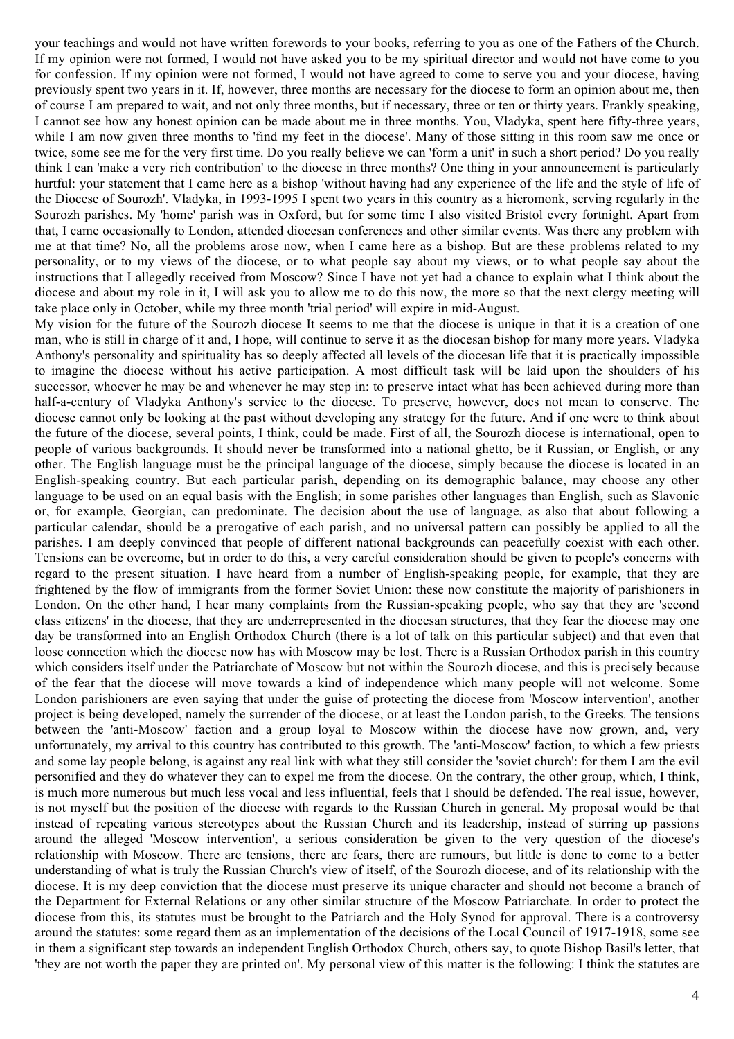your teachings and would not have written forewords to your books, referring to you as one of the Fathers of the Church. If my opinion were not formed, I would not have asked you to be my spiritual director and would not have come to you for confession. If my opinion were not formed, I would not have agreed to come to serve you and your diocese, having previously spent two years in it. If, however, three months are necessary for the diocese to form an opinion about me, then of course I am prepared to wait, and not only three months, but if necessary, three or ten or thirty years. Frankly speaking, I cannot see how any honest opinion can be made about me in three months. You, Vladyka, spent here fifty-three years, while I am now given three months to 'find my feet in the diocese'. Many of those sitting in this room saw me once or twice, some see me for the very first time. Do you really believe we can 'form a unit' in such a short period? Do you really think I can 'make a very rich contribution' to the diocese in three months? One thing in your announcement is particularly hurtful: your statement that I came here as a bishop 'without having had any experience of the life and the style of life of the Diocese of Sourozh'. Vladyka, in 1993-1995 I spent two years in this country as a hieromonk, serving regularly in the Sourozh parishes. My 'home' parish was in Oxford, but for some time I also visited Bristol every fortnight. Apart from that, I came occasionally to London, attended diocesan conferences and other similar events. Was there any problem with me at that time? No, all the problems arose now, when I came here as a bishop. But are these problems related to my personality, or to my views of the diocese, or to what people say about my views, or to what people say about the instructions that I allegedly received from Moscow? Since I have not yet had a chance to explain what I think about the diocese and about my role in it, I will ask you to allow me to do this now, the more so that the next clergy meeting will take place only in October, while my three month 'trial period' will expire in mid-August.

My vision for the future of the Sourozh diocese It seems to me that the diocese is unique in that it is a creation of one man, who is still in charge of it and, I hope, will continue to serve it as the diocesan bishop for many more years. Vladyka Anthony's personality and spirituality has so deeply affected all levels of the diocesan life that it is practically impossible to imagine the diocese without his active participation. A most difficult task will be laid upon the shoulders of his successor, whoever he may be and whenever he may step in: to preserve intact what has been achieved during more than half-a-century of Vladyka Anthony's service to the diocese. To preserve, however, does not mean to conserve. The diocese cannot only be looking at the past without developing any strategy for the future. And if one were to think about the future of the diocese, several points, I think, could be made. First of all, the Sourozh diocese is international, open to people of various backgrounds. It should never be transformed into a national ghetto, be it Russian, or English, or any other. The English language must be the principal language of the diocese, simply because the diocese is located in an English-speaking country. But each particular parish, depending on its demographic balance, may choose any other language to be used on an equal basis with the English; in some parishes other languages than English, such as Slavonic or, for example, Georgian, can predominate. The decision about the use of language, as also that about following a particular calendar, should be a prerogative of each parish, and no universal pattern can possibly be applied to all the parishes. I am deeply convinced that people of different national backgrounds can peacefully coexist with each other. Tensions can be overcome, but in order to do this, a very careful consideration should be given to people's concerns with regard to the present situation. I have heard from a number of English-speaking people, for example, that they are frightened by the flow of immigrants from the former Soviet Union: these now constitute the majority of parishioners in London. On the other hand, I hear many complaints from the Russian-speaking people, who say that they are 'second class citizens' in the diocese, that they are underrepresented in the diocesan structures, that they fear the diocese may one day be transformed into an English Orthodox Church (there is a lot of talk on this particular subject) and that even that loose connection which the diocese now has with Moscow may be lost. There is a Russian Orthodox parish in this country which considers itself under the Patriarchate of Moscow but not within the Sourozh diocese, and this is precisely because of the fear that the diocese will move towards a kind of independence which many people will not welcome. Some London parishioners are even saying that under the guise of protecting the diocese from 'Moscow intervention', another project is being developed, namely the surrender of the diocese, or at least the London parish, to the Greeks. The tensions between the 'anti-Moscow' faction and a group loyal to Moscow within the diocese have now grown, and, very unfortunately, my arrival to this country has contributed to this growth. The 'anti-Moscow' faction, to which a few priests and some lay people belong, is against any real link with what they still consider the 'soviet church': for them I am the evil personified and they do whatever they can to expel me from the diocese. On the contrary, the other group, which, I think, is much more numerous but much less vocal and less influential, feels that I should be defended. The real issue, however, is not myself but the position of the diocese with regards to the Russian Church in general. My proposal would be that instead of repeating various stereotypes about the Russian Church and its leadership, instead of stirring up passions around the alleged 'Moscow intervention', a serious consideration be given to the very question of the diocese's relationship with Moscow. There are tensions, there are fears, there are rumours, but little is done to come to a better understanding of what is truly the Russian Church's view of itself, of the Sourozh diocese, and of its relationship with the diocese. It is my deep conviction that the diocese must preserve its unique character and should not become a branch of the Department for External Relations or any other similar structure of the Moscow Patriarchate. In order to protect the diocese from this, its statutes must be brought to the Patriarch and the Holy Synod for approval. There is a controversy around the statutes: some regard them as an implementation of the decisions of the Local Council of 1917-1918, some see in them a significant step towards an independent English Orthodox Church, others say, to quote Bishop Basil's letter, that 'they are not worth the paper they are printed on'. My personal view of this matter is the following: I think the statutes are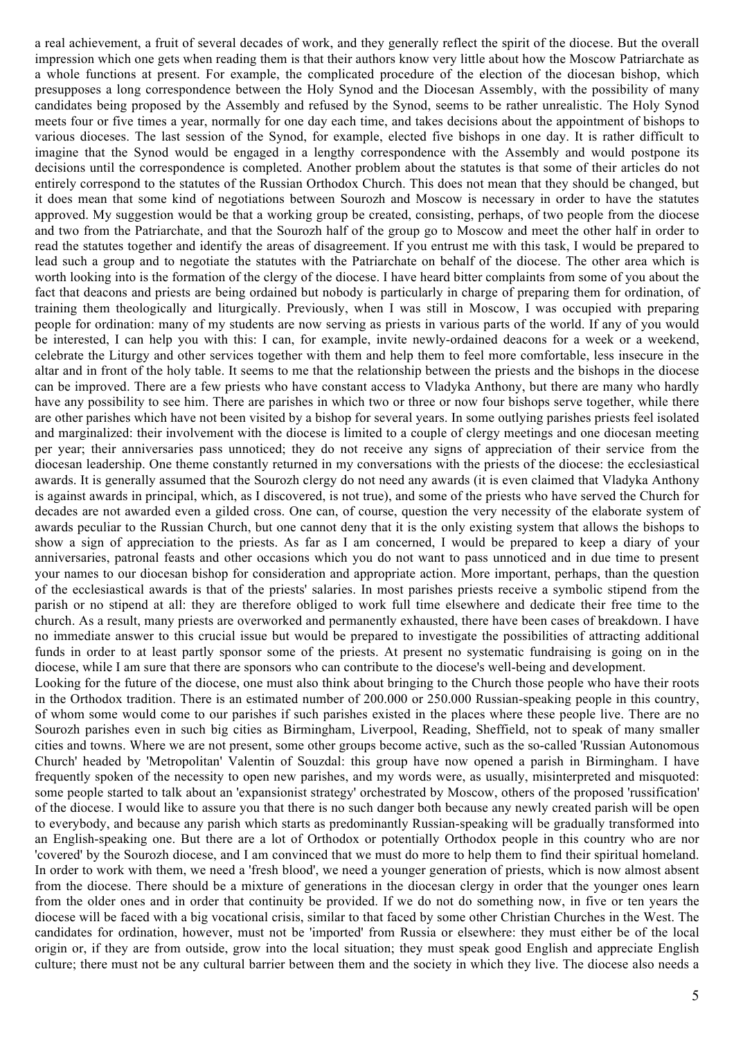a real achievement, a fruit of several decades of work, and they generally reflect the spirit of the diocese. But the overall impression which one gets when reading them is that their authors know very little about how the Moscow Patriarchate as a whole functions at present. For example, the complicated procedure of the election of the diocesan bishop, which presupposes a long correspondence between the Holy Synod and the Diocesan Assembly, with the possibility of many candidates being proposed by the Assembly and refused by the Synod, seems to be rather unrealistic. The Holy Synod meets four or five times a year, normally for one day each time, and takes decisions about the appointment of bishops to various dioceses. The last session of the Synod, for example, elected five bishops in one day. It is rather difficult to imagine that the Synod would be engaged in a lengthy correspondence with the Assembly and would postpone its decisions until the correspondence is completed. Another problem about the statutes is that some of their articles do not entirely correspond to the statutes of the Russian Orthodox Church. This does not mean that they should be changed, but it does mean that some kind of negotiations between Sourozh and Moscow is necessary in order to have the statutes approved. My suggestion would be that a working group be created, consisting, perhaps, of two people from the diocese and two from the Patriarchate, and that the Sourozh half of the group go to Moscow and meet the other half in order to read the statutes together and identify the areas of disagreement. If you entrust me with this task, I would be prepared to lead such a group and to negotiate the statutes with the Patriarchate on behalf of the diocese. The other area which is worth looking into is the formation of the clergy of the diocese. I have heard bitter complaints from some of you about the fact that deacons and priests are being ordained but nobody is particularly in charge of preparing them for ordination, of training them theologically and liturgically. Previously, when I was still in Moscow, I was occupied with preparing people for ordination: many of my students are now serving as priests in various parts of the world. If any of you would be interested, I can help you with this: I can, for example, invite newly-ordained deacons for a week or a weekend, celebrate the Liturgy and other services together with them and help them to feel more comfortable, less insecure in the altar and in front of the holy table. It seems to me that the relationship between the priests and the bishops in the diocese can be improved. There are a few priests who have constant access to Vladyka Anthony, but there are many who hardly have any possibility to see him. There are parishes in which two or three or now four bishops serve together, while there are other parishes which have not been visited by a bishop for several years. In some outlying parishes priests feel isolated and marginalized: their involvement with the diocese is limited to a couple of clergy meetings and one diocesan meeting per year; their anniversaries pass unnoticed; they do not receive any signs of appreciation of their service from the diocesan leadership. One theme constantly returned in my conversations with the priests of the diocese: the ecclesiastical awards. It is generally assumed that the Sourozh clergy do not need any awards (it is even claimed that Vladyka Anthony is against awards in principal, which, as I discovered, is not true), and some of the priests who have served the Church for decades are not awarded even a gilded cross. One can, of course, question the very necessity of the elaborate system of awards peculiar to the Russian Church, but one cannot deny that it is the only existing system that allows the bishops to show a sign of appreciation to the priests. As far as I am concerned, I would be prepared to keep a diary of your anniversaries, patronal feasts and other occasions which you do not want to pass unnoticed and in due time to present your names to our diocesan bishop for consideration and appropriate action. More important, perhaps, than the question of the ecclesiastical awards is that of the priests' salaries. In most parishes priests receive a symbolic stipend from the parish or no stipend at all: they are therefore obliged to work full time elsewhere and dedicate their free time to the church. As a result, many priests are overworked and permanently exhausted, there have been cases of breakdown. I have no immediate answer to this crucial issue but would be prepared to investigate the possibilities of attracting additional funds in order to at least partly sponsor some of the priests. At present no systematic fundraising is going on in the diocese, while I am sure that there are sponsors who can contribute to the diocese's well-being and development. Looking for the future of the diocese, one must also think about bringing to the Church those people who have their roots in the Orthodox tradition. There is an estimated number of 200.000 or 250.000 Russian-speaking people in this country, of whom some would come to our parishes if such parishes existed in the places where these people live. There are no Sourozh parishes even in such big cities as Birmingham, Liverpool, Reading, Sheffield, not to speak of many smaller cities and towns. Where we are not present, some other groups become active, such as the so-called 'Russian Autonomous Church' headed by 'Metropolitan' Valentin of Souzdal: this group have now opened a parish in Birmingham. I have frequently spoken of the necessity to open new parishes, and my words were, as usually, misinterpreted and misquoted: some people started to talk about an 'expansionist strategy' orchestrated by Moscow, others of the proposed 'russification' of the diocese. I would like to assure you that there is no such danger both because any newly created parish will be open to everybody, and because any parish which starts as predominantly Russian-speaking will be gradually transformed into an English-speaking one. But there are a lot of Orthodox or potentially Orthodox people in this country who are nor 'covered' by the Sourozh diocese, and I am convinced that we must do more to help them to find their spiritual homeland. In order to work with them, we need a 'fresh blood', we need a younger generation of priests, which is now almost absent from the diocese. There should be a mixture of generations in the diocesan clergy in order that the younger ones learn from the older ones and in order that continuity be provided. If we do not do something now, in five or ten years the diocese will be faced with a big vocational crisis, similar to that faced by some other Christian Churches in the West. The candidates for ordination, however, must not be 'imported' from Russia or elsewhere: they must either be of the local origin or, if they are from outside, grow into the local situation; they must speak good English and appreciate English culture; there must not be any cultural barrier between them and the society in which they live. The diocese also needs a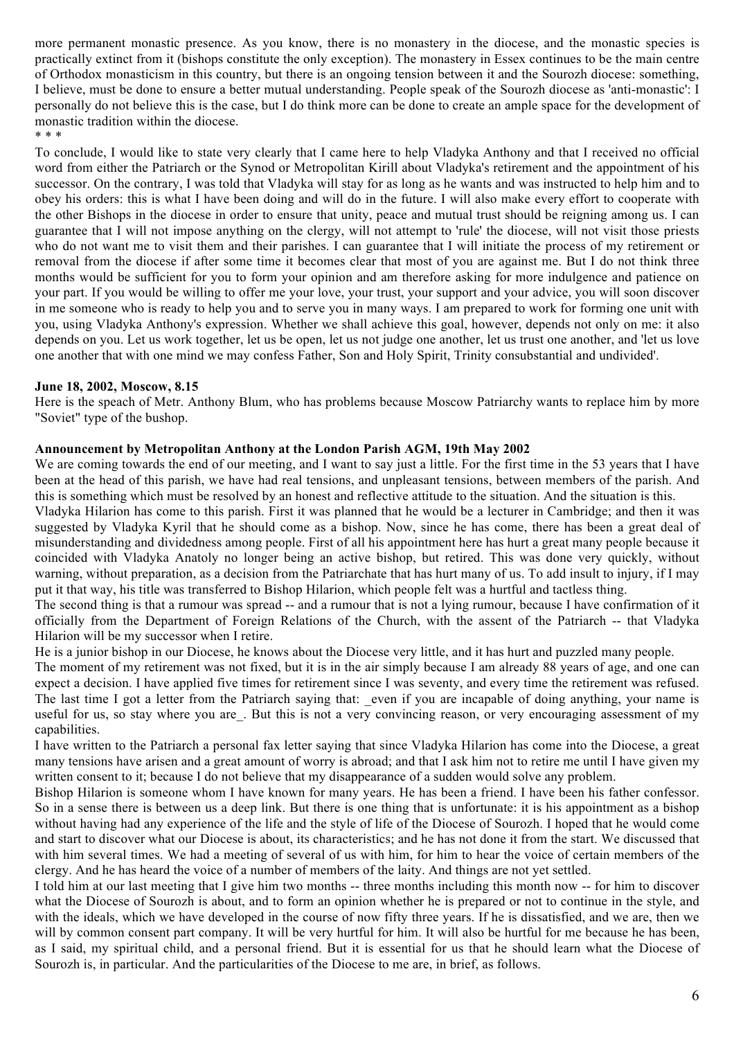more permanent monastic presence. As you know, there is no monastery in the diocese, and the monastic species is practically extinct from it (bishops constitute the only exception). The monastery in Essex continues to be the main centre of Orthodox monasticism in this country, but there is an ongoing tension between it and the Sourozh diocese: something, I believe, must be done to ensure a better mutual understanding. People speak of the Sourozh diocese as 'anti-monastic': I personally do not believe this is the case, but I do think more can be done to create an ample space for the development of monastic tradition within the diocese.

\* \* \*

To conclude, I would like to state very clearly that I came here to help Vladyka Anthony and that I received no official word from either the Patriarch or the Synod or Metropolitan Kirill about Vladyka's retirement and the appointment of his successor. On the contrary, I was told that Vladyka will stay for as long as he wants and was instructed to help him and to obey his orders: this is what I have been doing and will do in the future. I will also make every effort to cooperate with the other Bishops in the diocese in order to ensure that unity, peace and mutual trust should be reigning among us. I can guarantee that I will not impose anything on the clergy, will not attempt to 'rule' the diocese, will not visit those priests who do not want me to visit them and their parishes. I can guarantee that I will initiate the process of my retirement or removal from the diocese if after some time it becomes clear that most of you are against me. But I do not think three months would be sufficient for you to form your opinion and am therefore asking for more indulgence and patience on your part. If you would be willing to offer me your love, your trust, your support and your advice, you will soon discover in me someone who is ready to help you and to serve you in many ways. I am prepared to work for forming one unit with you, using Vladyka Anthony's expression. Whether we shall achieve this goal, however, depends not only on me: it also depends on you. Let us work together, let us be open, let us not judge one another, let us trust one another, and 'let us love one another that with one mind we may confess Father, Son and Holy Spirit, Trinity consubstantial and undivided'.

## **June 18, 2002, Moscow, 8.15**

Here is the speach of Metr. Anthony Blum, who has problems because Moscow Patriarchy wants to replace him by more "Soviet" type of the bushop.

## **Announcement by Metropolitan Anthony at the London Parish AGM, 19th May 2002**

We are coming towards the end of our meeting, and I want to say just a little. For the first time in the 53 years that I have been at the head of this parish, we have had real tensions, and unpleasant tensions, between members of the parish. And this is something which must be resolved by an honest and reflective attitude to the situation. And the situation is this.

Vladyka Hilarion has come to this parish. First it was planned that he would be a lecturer in Cambridge; and then it was suggested by Vladyka Kyril that he should come as a bishop. Now, since he has come, there has been a great deal of misunderstanding and dividedness among people. First of all his appointment here has hurt a great many people because it coincided with Vladyka Anatoly no longer being an active bishop, but retired. This was done very quickly, without warning, without preparation, as a decision from the Patriarchate that has hurt many of us. To add insult to injury, if I may put it that way, his title was transferred to Bishop Hilarion, which people felt was a hurtful and tactless thing.

The second thing is that a rumour was spread -- and a rumour that is not a lying rumour, because I have confirmation of it officially from the Department of Foreign Relations of the Church, with the assent of the Patriarch -- that Vladyka Hilarion will be my successor when I retire.

He is a junior bishop in our Diocese, he knows about the Diocese very little, and it has hurt and puzzled many people.

The moment of my retirement was not fixed, but it is in the air simply because I am already 88 years of age, and one can expect a decision. I have applied five times for retirement since I was seventy, and every time the retirement was refused. The last time I got a letter from the Patriarch saying that: even if you are incapable of doing anything, your name is useful for us, so stay where you are. But this is not a very convincing reason, or very encouraging assessment of my capabilities.

I have written to the Patriarch a personal fax letter saying that since Vladyka Hilarion has come into the Diocese, a great many tensions have arisen and a great amount of worry is abroad; and that I ask him not to retire me until I have given my written consent to it; because I do not believe that my disappearance of a sudden would solve any problem.

Bishop Hilarion is someone whom I have known for many years. He has been a friend. I have been his father confessor. So in a sense there is between us a deep link. But there is one thing that is unfortunate: it is his appointment as a bishop without having had any experience of the life and the style of life of the Diocese of Sourozh. I hoped that he would come and start to discover what our Diocese is about, its characteristics; and he has not done it from the start. We discussed that with him several times. We had a meeting of several of us with him, for him to hear the voice of certain members of the clergy. And he has heard the voice of a number of members of the laity. And things are not yet settled.

I told him at our last meeting that I give him two months -- three months including this month now -- for him to discover what the Diocese of Sourozh is about, and to form an opinion whether he is prepared or not to continue in the style, and with the ideals, which we have developed in the course of now fifty three years. If he is dissatisfied, and we are, then we will by common consent part company. It will be very hurtful for him. It will also be hurtful for me because he has been, as I said, my spiritual child, and a personal friend. But it is essential for us that he should learn what the Diocese of Sourozh is, in particular. And the particularities of the Diocese to me are, in brief, as follows.